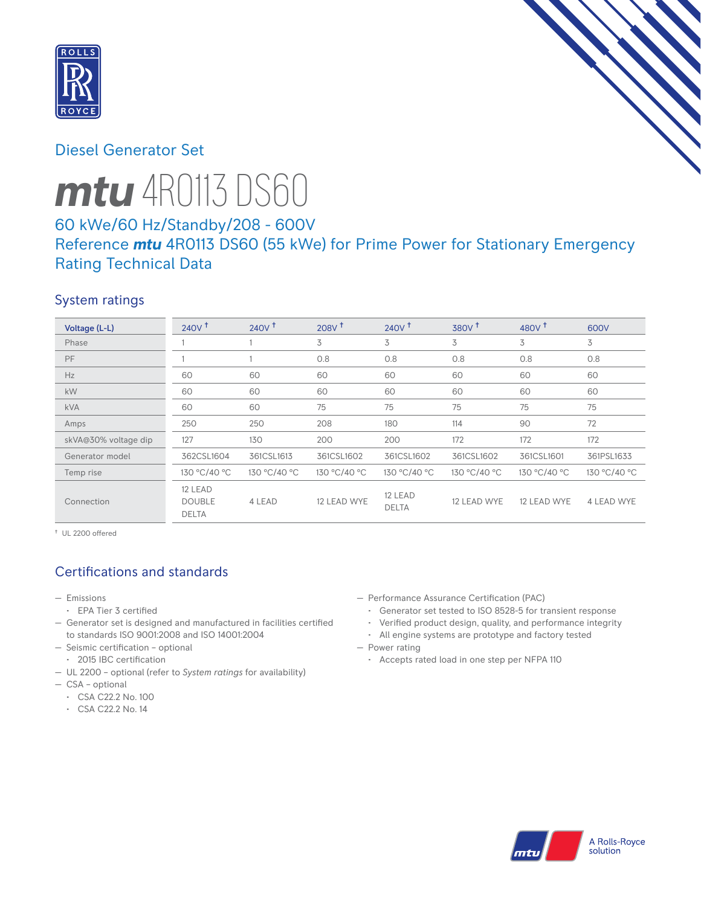

# Diesel Generator Set

# *mtu* 4R0113 DS60

# 60 kWe/60 Hz/Standby/208 - 600V Reference *mtu* 4R0113 DS60 (55 kWe) for Prime Power for Stationary Emergency Rating Technical Data

## System ratings

| Voltage (L-L)        | $240V$ <sup>+</sup>                      | 240V <sup>†</sup> | 208V <sup>†</sup> | $240V$ <sup>+</sup>     | 380V <sup>†</sup> | 480 $V†$     | 600V         |
|----------------------|------------------------------------------|-------------------|-------------------|-------------------------|-------------------|--------------|--------------|
| Phase                |                                          |                   | 3                 | 3                       | 3                 | 3            | 3            |
| PF                   |                                          |                   | 0.8               | 0.8                     | 0.8               | 0.8          | 0.8          |
| Hz                   | 60                                       | 60                | 60                | 60                      | 60                | 60           | 60           |
| kW                   | 60                                       | 60                | 60                | 60                      | 60                | 60           | 60           |
| <b>kVA</b>           | 60                                       | 60                | 75                | 75                      | 75                | 75           | 75           |
| Amps                 | 250                                      | 250               | 208               | 180                     | 114               | 90           | 72           |
| skVA@30% voltage dip | 127                                      | 130               | 200               | 200                     | 172               | 172          | 172          |
| Generator model      | 362CSL1604                               | 361CSL1613        | 361CSL1602        | 361CSL1602              | 361CSL1602        | 361CSL1601   | 361PSL1633   |
| Temp rise            | 130 °C/40 °C                             | 130 °C/40 °C      | 130 °C/40 °C      | 130 °C/40 °C            | 130 °C/40 °C      | 130 °C/40 °C | 130 °C/40 °C |
| Connection           | 12 LEAD<br><b>DOUBLE</b><br><b>DELTA</b> | 4 LEAD            | 12 LEAD WYE       | 12 LEAD<br><b>DELTA</b> | 12 LEAD WYE       | 12 LEAD WYE  | 4 LEAD WYE   |

† UL 2200 offered

## Certifications and standards

- Emissions
	- EPA Tier 3 certified
- Generator set is designed and manufactured in facilities certified to standards ISO 9001:2008 and ISO 14001:2004
- Seismic certification optional
- 2015 IBC certification
- UL 2200 optional (refer to *System ratings* for availability)
- CSA optional
	- CSA C22.2 No. 100
	- CSA C22.2 No. 14
- Performance Assurance Certification (PAC)
	- Generator set tested to ISO 8528-5 for transient response
	- Verified product design, quality, and performance integrity
	- All engine systems are prototype and factory tested
- Power rating
	- Accepts rated load in one step per NFPA 110

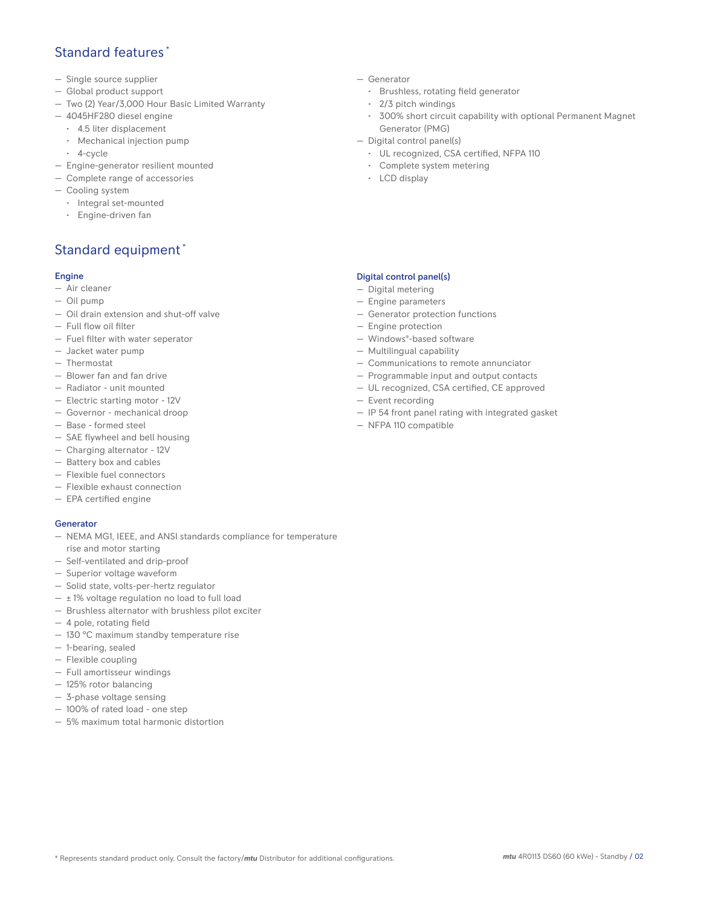## Standard features \*

- Single source supplier
- Global product support
- Two (2) Year/3,000 Hour Basic Limited Warranty
- 4045HF280 diesel engine
	- 4.5 liter displacement
	- Mechanical injection pump
	- 4-cycle
- Engine-generator resilient mounted
- Complete range of accessories
- Cooling system
- Integral set-mounted
	- Engine-driven fan

## Standard equipment \*

#### Engine

- Air cleaner
- Oil pump
- Oil drain extension and shut-off valve
- Full flow oil filter
- Fuel filter with water seperator
- Jacket water pump
- Thermostat
- Blower fan and fan drive
- Radiator unit mounted
- Electric starting motor 12V
- Governor mechanical droop
- Base formed steel
- SAE flywheel and bell housing
- Charging alternator 12V
- Battery box and cables
- Flexible fuel connectors
- Flexible exhaust connection
- EPA certified engine

#### **Generator**

- NEMA MG1, IEEE, and ANSI standards compliance for temperature rise and motor starting
- Self-ventilated and drip-proof
- Superior voltage waveform
- Solid state, volts-per-hertz regulator
- $-$  ± 1% voltage regulation no load to full load
- Brushless alternator with brushless pilot exciter
- 4 pole, rotating field
- 130 °C maximum standby temperature rise
- 1-bearing, sealed
- Flexible coupling
- Full amortisseur windings
- 125% rotor balancing
- 3-phase voltage sensing
- 100% of rated load one step
- 5% maximum total harmonic distortion
- Generator
	- Brushless, rotating field generator
	- 2/3 pitch windings
	- 300% short circuit capability with optional Permanent Magnet Generator (PMG)
- Digital control panel(s)
	- UL recognized, CSA certified, NFPA 110
	- Complete system metering
	- LCD display

#### Digital control panel(s)

- Digital metering
- Engine parameters
- Generator protection functions
- Engine protection
- Windows®-based software
- Multilingual capability
- Communications to remote annunciator
- Programmable input and output contacts
- UL recognized, CSA certified, CE approved
- Event recording
- IP 54 front panel rating with integrated gasket
- NFPA 110 compatible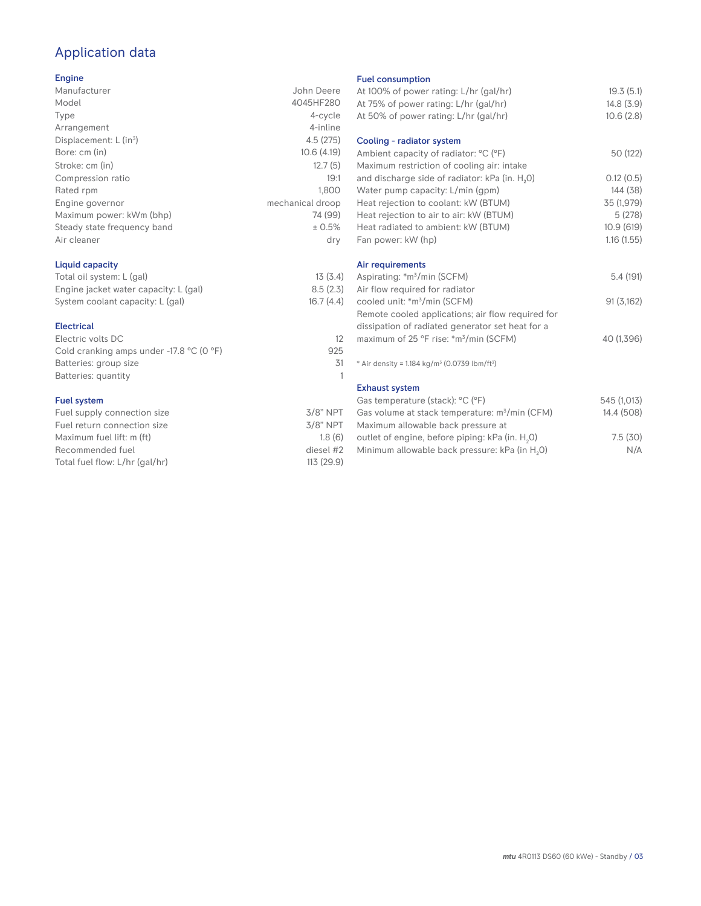# Application data

#### Engine

| Manufacturer                         | John Deere       |
|--------------------------------------|------------------|
| Model                                | 4045HF280        |
| Type                                 | 4-cycle          |
| Arrangement                          | 4-inline         |
| Displacement: $L$ (in <sup>3</sup> ) | 4.5(275)         |
| Bore: cm (in)                        | 10.6(4.19)       |
| Stroke: cm (in)                      | 12.7(5)          |
| Compression ratio                    | 19:1             |
| Rated rpm                            | 1,800            |
| Engine governor                      | mechanical droop |
| Maximum power: kWm (bhp)             | 74 (99)          |
| Steady state frequency band          | ± 0.5%           |
| Air cleaner                          | dry              |
|                                      |                  |

### Liquid capacity

| Total oil system: L (gal)             | 13(3.4)   |
|---------------------------------------|-----------|
| Engine jacket water capacity: L (gal) | 8.5(2.3)  |
| System coolant capacity: L (gal)      | 16.7(4.4) |

#### Electrical

| Electric volts DC                          |     |
|--------------------------------------------|-----|
| Cold cranking amps under $-17.8$ °C (0 °F) | 925 |
| Batteries: group size                      | 31  |
| Batteries: quantity                        |     |
|                                            |     |

#### Fuel system

| $3/8$ " NPT |
|-------------|
| $3/8$ " NPT |
| 1.8(6)      |
| diesel #2   |
| 113 (29.9)  |
|             |

#### Fuel consumption

| At 100% of power rating: L/hr (gal/hr)                                | 19.3(5.1)   |
|-----------------------------------------------------------------------|-------------|
| At 75% of power rating: L/hr (gal/hr)                                 | 14.8(3.9)   |
| At 50% of power rating: L/hr (gal/hr)                                 | 10.6(2.8)   |
| Cooling - radiator system                                             |             |
| Ambient capacity of radiator: °C (°F)                                 | 50 (122)    |
| Maximum restriction of cooling air: intake                            |             |
| and discharge side of radiator: kPa (in. H <sub>2</sub> O)            | 0.12(0.5)   |
| Water pump capacity: L/min (gpm)                                      | 144 (38)    |
| Heat rejection to coolant: kW (BTUM)                                  | 35 (1,979)  |
| Heat rejection to air to air: kW (BTUM)                               | 5(278)      |
| Heat radiated to ambient: kW (BTUM)                                   | 10.9(619)   |
| Fan power: kW (hp)                                                    | 1.16(1.55)  |
| Air requirements                                                      |             |
| Aspirating: *m <sup>3</sup> /min (SCFM)                               | 5.4 (191)   |
| Air flow required for radiator                                        |             |
| cooled unit: *m <sup>3</sup> /min (SCFM)                              | 91(3,162)   |
| Remote cooled applications; air flow required for                     |             |
| dissipation of radiated generator set heat for a                      |             |
| maximum of 25 °F rise: *m <sup>3</sup> /min (SCFM)                    | 40 (1,396)  |
|                                                                       |             |
| * Air density = 1.184 kg/m <sup>3</sup> (0.0739 lbm/ft <sup>3</sup> ) |             |
| <b>Exhaust system</b>                                                 |             |
| Gas temperature (stack): °C (°F)                                      | 545 (1,013) |
| Gas volume at stack temperature: m <sup>3</sup> /min (CFM)            | 14.4 (508)  |
| Maximum allowable back pressure at                                    |             |
| outlet of engine, before piping: kPa (in. H <sub>2</sub> 0)           | 7.5(30)     |
|                                                                       |             |

Minimum allowable back pressure: kPa (in  $H_2O$ ) N/A

*mtu* 4R0113 DS60 (60 kWe) - Standby / 03